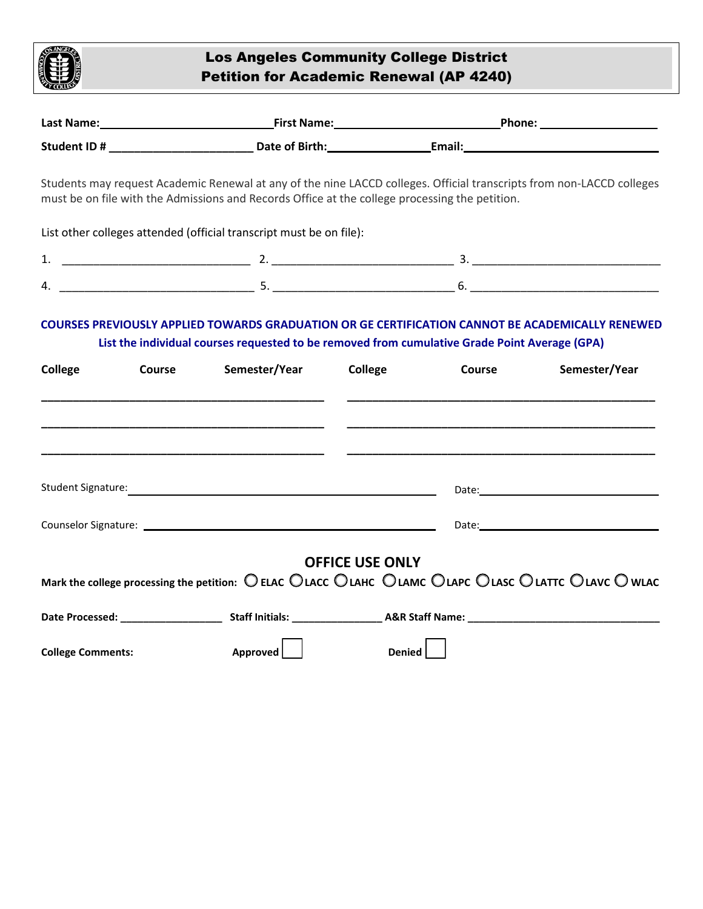

## Los Angeles Community College District Petition for Academic Renewal (AP 4240)

|                          |  | must be on file with the Admissions and Records Office at the college processing the petition.                                                                             |                        |        | Students may request Academic Renewal at any of the nine LACCD colleges. Official transcripts from non-LACCD colleges |
|--------------------------|--|----------------------------------------------------------------------------------------------------------------------------------------------------------------------------|------------------------|--------|-----------------------------------------------------------------------------------------------------------------------|
|                          |  | List other colleges attended (official transcript must be on file):                                                                                                        |                        |        |                                                                                                                       |
|                          |  |                                                                                                                                                                            |                        |        |                                                                                                                       |
|                          |  |                                                                                                                                                                            |                        |        |                                                                                                                       |
|                          |  |                                                                                                                                                                            |                        |        |                                                                                                                       |
|                          |  | the contract of the contract of the contract of the contract of the contract of the contract of the contract of                                                            |                        |        |                                                                                                                       |
|                          |  |                                                                                                                                                                            |                        |        |                                                                                                                       |
|                          |  |                                                                                                                                                                            |                        |        |                                                                                                                       |
|                          |  | Mark the college processing the petition: $\bigcirc$ ELAC $\bigcirc$ LACC $\bigcirc$ LAHC $\bigcirc$ LAPC $\bigcirc$ LASC $\bigcirc$ LATTC $\bigcirc$ LAVC $\bigcirc$ WLAC | <b>OFFICE USE ONLY</b> |        |                                                                                                                       |
|                          |  |                                                                                                                                                                            |                        |        |                                                                                                                       |
| <b>College Comments:</b> |  | Approved                                                                                                                                                                   |                        | Denied |                                                                                                                       |